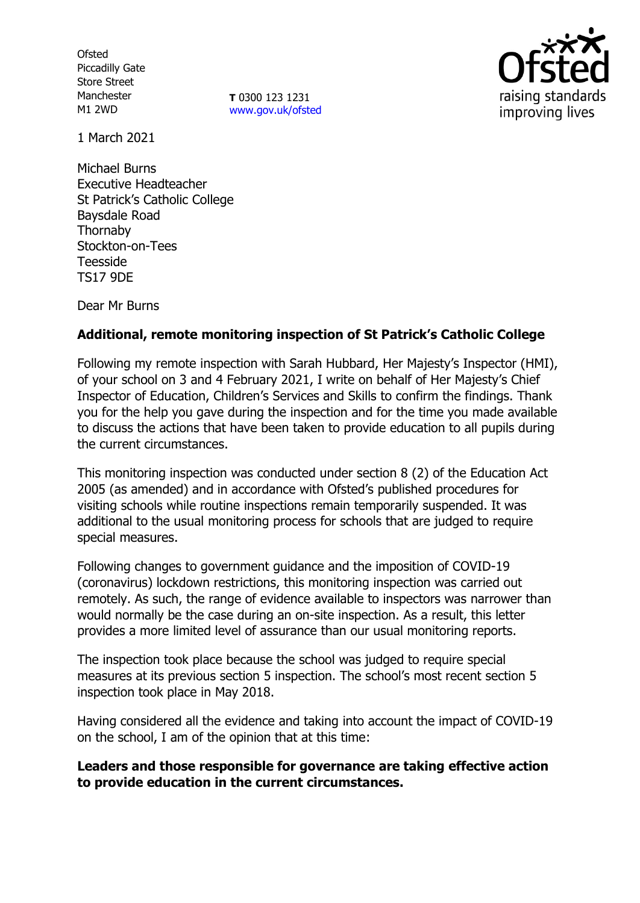**Ofsted** Piccadilly Gate Store Street Manchester M1 2WD

**T** 0300 123 1231 [www.gov.uk/ofsted](http://www.gov.uk/ofsted)



1 March 2021

Michael Burns Executive Headteacher St Patrick's Catholic College Baysdale Road Thornaby Stockton-on-Tees Teesside TS17 9DE

Dear Mr Burns

# **Additional, remote monitoring inspection of St Patrick's Catholic College**

Following my remote inspection with Sarah Hubbard, Her Majesty's Inspector (HMI), of your school on 3 and 4 February 2021, I write on behalf of Her Majesty's Chief Inspector of Education, Children's Services and Skills to confirm the findings. Thank you for the help you gave during the inspection and for the time you made available to discuss the actions that have been taken to provide education to all pupils during the current circumstances.

This monitoring inspection was conducted under section 8 (2) of the Education Act 2005 (as amended) and in accordance with Ofsted's published procedures for visiting schools while routine inspections remain temporarily suspended. It was additional to the usual monitoring process for schools that are judged to require special measures.

Following changes to government guidance and the imposition of COVID-19 (coronavirus) lockdown restrictions, this monitoring inspection was carried out remotely. As such, the range of evidence available to inspectors was narrower than would normally be the case during an on-site inspection. As a result, this letter provides a more limited level of assurance than our usual monitoring reports.

The inspection took place because the school was judged to require special measures at its previous section 5 inspection. The school's most recent section 5 inspection took place in May 2018.

Having considered all the evidence and taking into account the impact of COVID-19 on the school, I am of the opinion that at this time:

## **Leaders and those responsible for governance are taking effective action to provide education in the current circumstances.**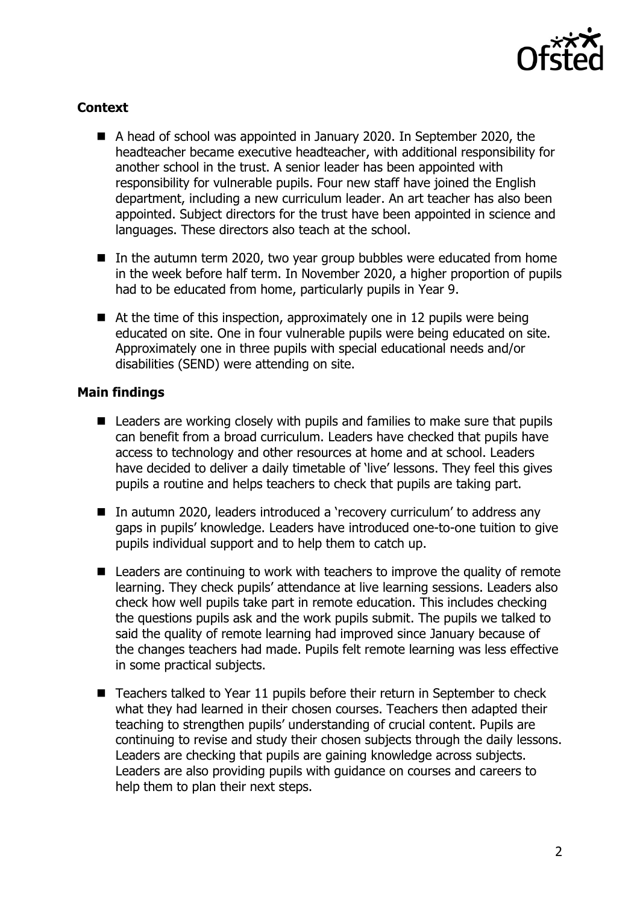

## **Context**

- A head of school was appointed in January 2020. In September 2020, the headteacher became executive headteacher, with additional responsibility for another school in the trust. A senior leader has been appointed with responsibility for vulnerable pupils. Four new staff have joined the English department, including a new curriculum leader. An art teacher has also been appointed. Subject directors for the trust have been appointed in science and languages. These directors also teach at the school.
- $\blacksquare$  In the autumn term 2020, two year group bubbles were educated from home in the week before half term. In November 2020, a higher proportion of pupils had to be educated from home, particularly pupils in Year 9.
- $\blacksquare$  At the time of this inspection, approximately one in 12 pupils were being educated on site. One in four vulnerable pupils were being educated on site. Approximately one in three pupils with special educational needs and/or disabilities (SEND) were attending on site.

## **Main findings**

- Leaders are working closely with pupils and families to make sure that pupils can benefit from a broad curriculum. Leaders have checked that pupils have access to technology and other resources at home and at school. Leaders have decided to deliver a daily timetable of 'live' lessons. They feel this gives pupils a routine and helps teachers to check that pupils are taking part.
- In autumn 2020, leaders introduced a 'recovery curriculum' to address any gaps in pupils' knowledge. Leaders have introduced one-to-one tuition to give pupils individual support and to help them to catch up.
- Leaders are continuing to work with teachers to improve the quality of remote learning. They check pupils' attendance at live learning sessions. Leaders also check how well pupils take part in remote education. This includes checking the questions pupils ask and the work pupils submit. The pupils we talked to said the quality of remote learning had improved since January because of the changes teachers had made. Pupils felt remote learning was less effective in some practical subjects.
- Teachers talked to Year 11 pupils before their return in September to check what they had learned in their chosen courses. Teachers then adapted their teaching to strengthen pupils' understanding of crucial content. Pupils are continuing to revise and study their chosen subjects through the daily lessons. Leaders are checking that pupils are gaining knowledge across subjects. Leaders are also providing pupils with guidance on courses and careers to help them to plan their next steps.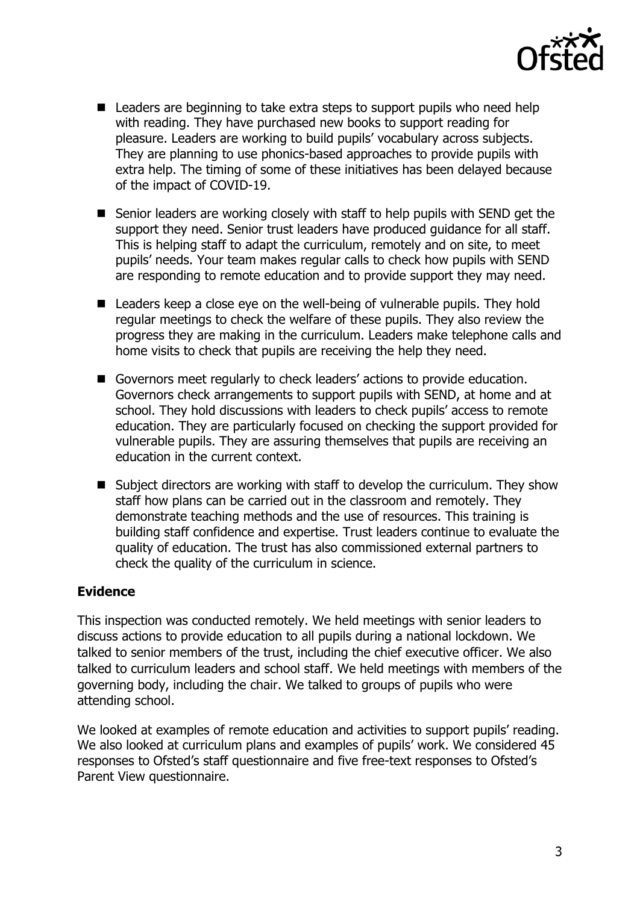

- Leaders are beginning to take extra steps to support pupils who need help with reading. They have purchased new books to support reading for pleasure. Leaders are working to build pupils' vocabulary across subjects. They are planning to use phonics-based approaches to provide pupils with extra help. The timing of some of these initiatives has been delayed because of the impact of COVID-19.
- Senior leaders are working closely with staff to help pupils with SEND get the support they need. Senior trust leaders have produced guidance for all staff. This is helping staff to adapt the curriculum, remotely and on site, to meet pupils' needs. Your team makes regular calls to check how pupils with SEND are responding to remote education and to provide support they may need.
- Leaders keep a close eye on the well-being of vulnerable pupils. They hold regular meetings to check the welfare of these pupils. They also review the progress they are making in the curriculum. Leaders make telephone calls and home visits to check that pupils are receiving the help they need.
- Governors meet regularly to check leaders' actions to provide education. Governors check arrangements to support pupils with SEND, at home and at school. They hold discussions with leaders to check pupils' access to remote education. They are particularly focused on checking the support provided for vulnerable pupils. They are assuring themselves that pupils are receiving an education in the current context.
- Subject directors are working with staff to develop the curriculum. They show staff how plans can be carried out in the classroom and remotely. They demonstrate teaching methods and the use of resources. This training is building staff confidence and expertise. Trust leaders continue to evaluate the quality of education. The trust has also commissioned external partners to check the quality of the curriculum in science.

## **Evidence**

This inspection was conducted remotely. We held meetings with senior leaders to discuss actions to provide education to all pupils during a national lockdown. We talked to senior members of the trust, including the chief executive officer. We also talked to curriculum leaders and school staff. We held meetings with members of the governing body, including the chair. We talked to groups of pupils who were attending school.

We looked at examples of remote education and activities to support pupils' reading. We also looked at curriculum plans and examples of pupils' work. We considered 45 responses to Ofsted's staff questionnaire and five free-text responses to Ofsted's Parent View questionnaire.